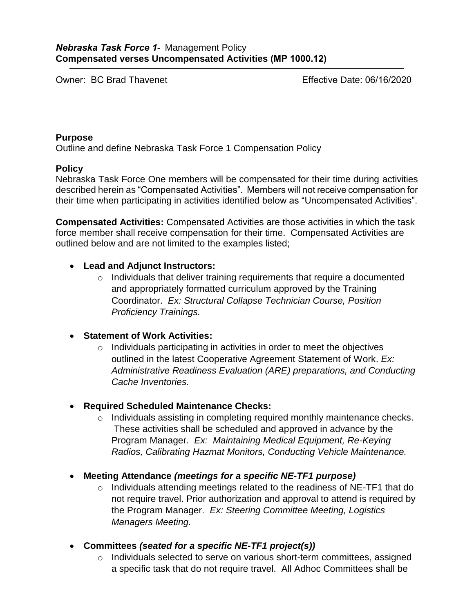Owner: BC Brad Thavenet

Effective Date: 06/16/2020

### **Purpose**

Outline and define Nebraska Task Force 1 Compensation Policy

## **Policy**

Nebraska Task Force One members will be compensated for their time during activities described herein as "Compensated Activities". Members will not receive compensation for their time when participating in activities identified below as "Uncompensated Activities".

**Compensated Activities:** Compensated Activities are those activities in which the task force member shall receive compensation for their time. Compensated Activities are outlined below and are not limited to the examples listed;

# **Lead and Adjunct Instructors:**

o Individuals that deliver training requirements that require a documented and appropriately formatted curriculum approved by the Training Coordinator. *Ex: Structural Collapse Technician Course, Position Proficiency Trainings.*

# **Statement of Work Activities:**

o Individuals participating in activities in order to meet the objectives outlined in the latest Cooperative Agreement Statement of Work. *Ex: Administrative Readiness Evaluation (ARE) preparations, and Conducting Cache Inventories.*

# **Required Scheduled Maintenance Checks:**

- o Individuals assisting in completing required monthly maintenance checks. These activities shall be scheduled and approved in advance by the Program Manager. *Ex: Maintaining Medical Equipment, Re-Keying Radios, Calibrating Hazmat Monitors, Conducting Vehicle Maintenance.*
- **Meeting Attendance** *(meetings for a specific NE-TF1 purpose)*
	- o Individuals attending meetings related to the readiness of NE-TF1 that do not require travel. Prior authorization and approval to attend is required by the Program Manager. *Ex: Steering Committee Meeting, Logistics Managers Meeting.*
- **Committees** *(seated for a specific NE-TF1 project(s))*
	- o Individuals selected to serve on various short-term committees, assigned a specific task that do not require travel. All Adhoc Committees shall be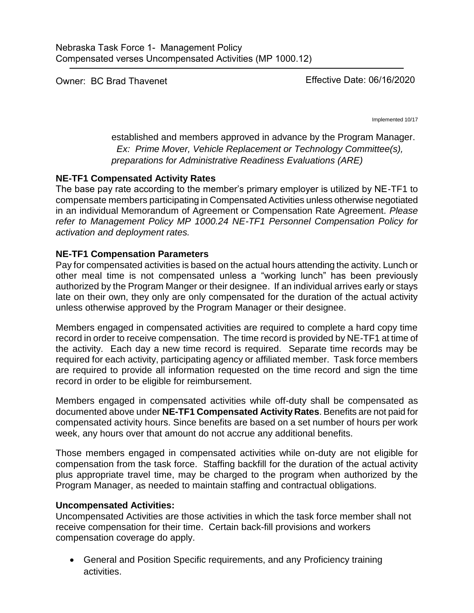Owner: BC Brad Thavenet

Effective Date: 06/16/2020

Implemented 10/17

established and members approved in advance by the Program Manager. *Ex: Prime Mover, Vehicle Replacement or Technology Committee(s), preparations for Administrative Readiness Evaluations (ARE)*

## **NE-TF1 Compensated Activity Rates**

The base pay rate according to the member's primary employer is utilized by NE-TF1 to compensate members participating in Compensated Activities unless otherwise negotiated in an individual Memorandum of Agreement or Compensation Rate Agreement. *Please refer to Management Policy MP 1000.24 NE-TF1 Personnel Compensation Policy for activation and deployment rates.* 

## **NE-TF1 Compensation Parameters**

Pay for compensated activities is based on the actual hours attending the activity. Lunch or other meal time is not compensated unless a "working lunch" has been previously authorized by the Program Manger or their designee. If an individual arrives early or stays late on their own, they only are only compensated for the duration of the actual activity unless otherwise approved by the Program Manager or their designee.

Members engaged in compensated activities are required to complete a hard copy time record in order to receive compensation. The time record is provided by NE-TF1 at time of the activity. Each day a new time record is required. Separate time records may be required for each activity, participating agency or affiliated member. Task force members are required to provide all information requested on the time record and sign the time record in order to be eligible for reimbursement.

Members engaged in compensated activities while off-duty shall be compensated as documented above under **NE-TF1 Compensated Activity Rates**. Benefits are not paid for compensated activity hours. Since benefits are based on a set number of hours per work week, any hours over that amount do not accrue any additional benefits.

Those members engaged in compensated activities while on-duty are not eligible for compensation from the task force. Staffing backfill for the duration of the actual activity plus appropriate travel time, may be charged to the program when authorized by the Program Manager, as needed to maintain staffing and contractual obligations.

## **Uncompensated Activities:**

Uncompensated Activities are those activities in which the task force member shall not receive compensation for their time. Certain back-fill provisions and workers compensation coverage do apply.

 General and Position Specific requirements, and any Proficiency training activities.